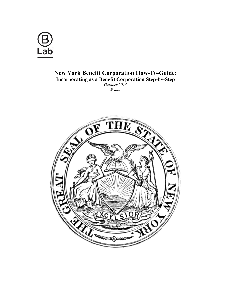

# **New York Benefit Corporation How-To-Guide: Incorporating as a Benefit Corporation Step-by-Step** *October 2013*

*B Lab*

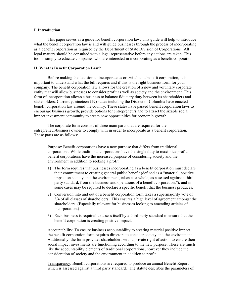## **I. Introduction**

This paper serves as a guide for benefit corporation law. This guide will help to introduce what the benefit corporation law is and will guide businesses through the process of incorporating as a benefit corporation as required by the Department of State Division of Corporations*.* All legal matters should be consulted with a legal representative before any actions are taken. This tool is simply to educate companies who are interested in incorporating as a benefit corporation.

## **II. What is Benefit Corporation Law?**

Before making the decision to incorporate as or switch to a benefit corporation, it is important to understand what the bill requires and if this is the right business form for your company. The benefit corporation law allows for the creation of a new and voluntary corporate entity that will allow businesses to consider profit as well as society and the environment. This form of incorporation allows a business to balance fiduciary duty between its shareholders and stakeholders. Currently, nineteen (19) states including the District of Columbia have enacted benefit corporation law around the country. These states have passed benefit corporation laws to encourage business growth, provide options for entrepreneurs and to attract the sizable social impact investment community to create new opportunities for economic growth.

The corporate form consists of three main parts that are required for the entrepreneur/business owner to comply with in order to incorporate as a benefit corporation. These parts are as follows:

Purpose: Benefit corporations have a new purpose that differs from traditional corporations. While traditional corporations have the single duty to maximize profit, benefit corporations have the increased purpose of considering society and the environment in addition to seeking a profit.

- 1) The form requires that businesses incorporating as a benefit corporation must declare their commitment to creating general public benefit (defined as a "material, positive impact on society and the environment, taken as a whole, as assessed against a thirdparty standard, from the business and operations of a benefit corporation."), and in some cases may be required to declare a specific benefit that the business produces.
- 2) Conversion into and out of a benefit corporation form takes a supermajority vote of 3/4 of all classes of shareholders. This ensures a high level of agreement amongst the shareholders. (Especially relevant for businesses looking to amending articles of incorporation.)
- 3) Each business is required to assess itself by a third-party standard to ensure that the benefit corporation is creating positive impact.

Accountability: To ensure business accountability to creating material positive impact, the benefit corporation form requires directors to consider society and the environment. Additionally, the form provides shareholders with a private right of action to ensure their social impact investments are functioning according to the new purpose. These are much like the accountability elements of traditional corporations, however they include the consideration of society and the environment in addition to profit.

Transparency: Benefit corporations are required to produce an annual Benefit Report, which is assessed against a third party standard. The statute describes the parameters of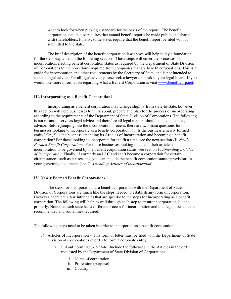what to look for when picking a standard for the basis of the report. The benefit corporation statute also requires that annual benefit reports be made public and shared with shareholders. Finally, some states require that the benefit report be filed with or submitted to the state.

The brief description of the benefit corporation law above will help to lay a foundation for the steps explained in the following sections. These steps will cover the processes of incorporation/electing benefit corporation status as required by the Department of State Division of Corporations to the procedures required from companies that are benefit corporations. This is a guide for incorporation and other requirements by the Secretary of State, and is not intended to stand as legal advice. For all legal advice please seek a lawyer or speak to your legal board. If you would like more information regarding what a Benefit Corporation is visit www.benefitcorp.net.

#### **III. Incorporating as a Benefit Corporation?**

Incorporating as a benefit corporation may change slightly from state-to-state, however this section will help businesses to think about, prepare and plan for the process of incorporating according to the requirements of the Department of State Division of Corporations. The following is not meant to serve as legal advice and therefore all legal matters should be taken to a legal advisor. Before jumping into the incorporation process, there are two main questions for businesses looking to incorporate as a benefit corporation: (1) Is the business a newly formed entity? Or (2) is the business amending its Articles of Incorporation and becoming a benefit corporation? For those looking to incorporate for the first time, see the next section *IV. Newly Formed Benefit Corporations*. For those businesses looking to amend their articles of incorporation to be governed by the benefit corporation status, see section *V. Amending Articles of Incorporation.* Finally, if currently an LLC and can't become a corporation for certain circumstances such as tax reasons, you can include the benefit corporation statute provisions in your governing documents (see *V. Amending Articles of Incorporation*).

#### **IV. Newly Formed Benefit Corporations**

The steps for incorporation as a benefit corporation with the Department of State Division of Corporations are much like the steps needed to establish any form of corporation. However, there are a few intricacies that are specific to the steps for incorporating as a benefit corporation. The following will help to walkthrough each step to ensure incorporation is done properly. Note that each state has a different process for incorporation and that legal assistance is recommended and sometimes required.

The following steps need to be taken in order to incorporate as a benefit corporation:

- 1) Articles of Incorporation This form or letter must be filed with the Department of State Division of Corporations in order to form a corporate entity.
	- a. Fill out Form DOS-1523-f-l. Include the following in the Articles in the order requested by the Department of State Division of Corporations:
		- i. Name of corporation
		- ii. Profession (purpose)
		- iii. Country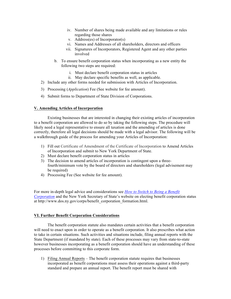- iv. Number of shares being made available and any limitations or rules regarding those shares
- v. Address(es) of Incorporator(s)
- vi. Names and Addresses of all shareholders, directors and officers
- vii. Signatures of Incorporators, Registered Agent and any other parties involved
- b. To ensure benefit corporation status when incorporating as a new entity the following two steps are required:
	- i. Must declare benefit corporation status in articles
	- ii. May declare specific benefits as well, as applicable.
- 2) Include any other forms needed for submission with Articles of Incorporation.
- 3) Processing (*Application*) Fee (See website for fee amount).
- 4) Submit forms to Department of State Division of Corporations.

## **V. Amending Articles of Incorporation**

Existing businesses that are interested in changing their existing articles of incorporation to a benefit corporation are allowed to do so by taking the following steps. The procedure will likely need a legal representative to ensure all taxation and the amending of articles is done correctly, therefore all legal decisions should be made with a legal advisor. The following will be a walkthrough guide of the process for amending your Articles of Incorporation:

- 1) Fill out Certificate of Amendment of the Certificate of Incorporation to Amend Articles of Incorporation and submit to New York Department of State.
- 2) Must declare benefit corporation status in articles
- 3) The decision to amend articles of incorporation is contingent upon a threefourth/minimum vote by the board of directors and shareholders (legal advisement may be required)
- 4) Processing Fee (See website for fee amount).

For more in-depth legal advice and considerations see *How to Switch to Being a Benefit Corporation* and the New York Secretary of State's website on electing benefit corporation status at http://www.dos.ny.gov/corps/benefit\_corporation\_formation.html.

### **VI. Further Benefit Corporation Considerations**

The benefit corporation statute also mandates certain activities that a benefit corporation will need to enact upon in order to operate as a benefit corporation. It also prescribes what action to take in certain situations. Such activities and situations include, filing annual reports with the State Department (if mandated by state). Each of these processes may vary from state-to-state however businesses incorporating as a benefit corporation should have an understanding of these processes before committing to this corporate form.

1) Filing Annual Reports – The benefit corporation statute requires that businesses incorporated as benefit corporations must assess their operations against a third-party standard and prepare an annual report. The benefit report must be shared with